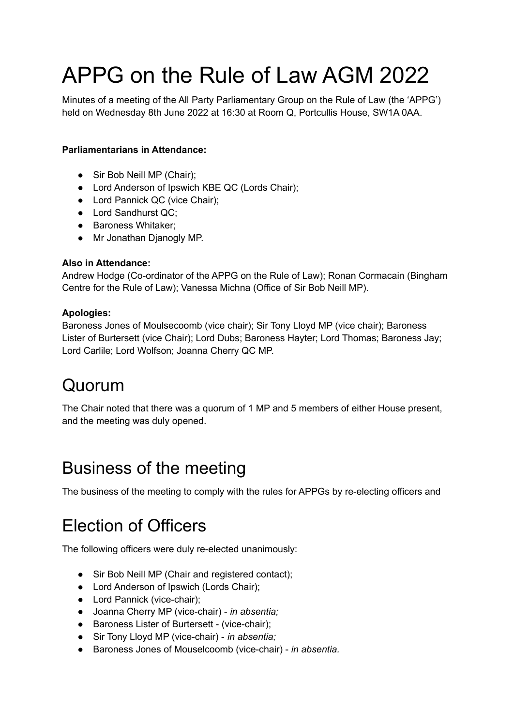# APPG on the Rule of Law AGM 2022

Minutes of a meeting of the All Party Parliamentary Group on the Rule of Law (the 'APPG') held on Wednesday 8th June 2022 at 16:30 at Room Q, Portcullis House, SW1A 0AA.

#### **Parliamentarians in Attendance:**

- Sir Bob Neill MP (Chair);
- Lord Anderson of Ipswich KBE QC (Lords Chair);
- Lord Pannick QC (vice Chair);
- Lord Sandhurst QC;
- Baroness Whitaker:
- Mr Jonathan Djanogly MP.

#### **Also in Attendance:**

Andrew Hodge (Co-ordinator of the APPG on the Rule of Law); Ronan Cormacain (Bingham Centre for the Rule of Law); Vanessa Michna (Office of Sir Bob Neill MP).

#### **Apologies:**

Baroness Jones of Moulsecoomb (vice chair); Sir Tony Lloyd MP (vice chair); Baroness Lister of Burtersett (vice Chair); Lord Dubs; Baroness Hayter; Lord Thomas; Baroness Jay; Lord Carlile; Lord Wolfson; Joanna Cherry QC MP.

### Quorum

The Chair noted that there was a quorum of 1 MP and 5 members of either House present, and the meeting was duly opened.

### Business of the meeting

The business of the meeting to comply with the rules for APPGs by re-electing officers and

### Election of Officers

The following officers were duly re-elected unanimously:

- Sir Bob Neill MP (Chair and registered contact);
- Lord Anderson of Ipswich (Lords Chair);
- Lord Pannick (vice-chair);
- Joanna Cherry MP (vice-chair) *in absentia;*
- Baroness Lister of Burtersett (vice-chair);
- Sir Tony Lloyd MP (vice-chair) *in absentia;*
- Baroness Jones of Mouselcoomb (vice-chair) *in absentia.*